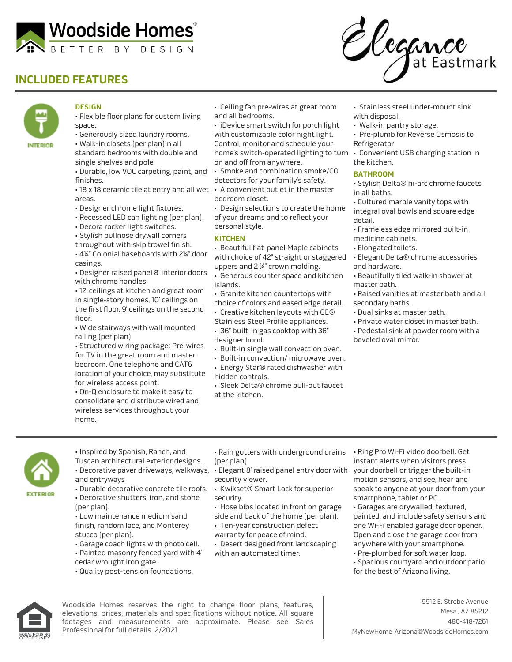

## **INCLUDED FEATURES**





## **DESIGN**

- Flexible floor plans for custom living space.
- Generously sized laundry rooms.
- Walk-in closets (per plan)in all standard bedrooms with double and single shelves and pole
- Durable, low VOC carpeting, paint, and finishes.
- 18 x 18 ceramic tile at entry and all wet A convenient outlet in the master areas.
- Designer chrome light fixtures.
- Recessed LED can lighting (per plan).
- Decora rocker light switches.
- Stylish bullnose drywall corners
- throughout with skip trowel finish.
- 4¼" Colonial baseboards with 2¼" door casings.
- Designer raised panel 8' interior doors with chrome handles.
- 12' ceilings at kitchen and great room in single-story homes, 10' ceilings on the first floor, 9' ceilings on the second floor.
- Wide stairways with wall mounted railing (per plan)
- Structured wiring package: Pre-wires for TV in the great room and master bedroom. One telephone and CAT6 location of your choice, may substitute for wireless access point.
- On-Q enclosure to make it easy to consolidate and distribute wired and wireless services throughout your home.
- Ceiling fan pre-wires at great room and all bedrooms.
- iDevice smart switch for porch light
- with customizable color night light. Control, monitor and schedule your home's switch-operated lighting to turn on and off from anywhere.
- Smoke and combination smoke/CO detectors for your family's safety.
- bedroom closet.
- Design selections to create the home of your dreams and to reflect your personal style.

## **KITCHEN**

- Beautiful flat-panel Maple cabinets
- with choice of 42" straight or staggered
- uppers and 2 ¼" crown molding. • Generous counter space and kitchen islands.
- Granite kitchen countertops with
- choice of colors and eased edge detail.
- Creative kitchen layouts with GE®
- Stainless Steel Profile appliances.
- 36" built-in gas cooktop with 36" designer hood.
- Built-in single wall convection oven.
- Built-in convection/ microwave oven.
- Energy Star® rated dishwasher with hidden controls.
- 
- Sleek Delta® chrome pull-out faucet at the kitchen.
- Stainless steel under-mount sink with disposal.
- Walk-in pantry storage.
- Pre-plumb for Reverse Osmosis to Refrigerator.
- Convenient USB charging station in the kitchen.

## **BATHROOM**

- Stylish Delta® hi-arc chrome faucets in all baths.
- Cultured marble vanity tops with integral oval bowls and square edge detail.
- Frameless edge mirrored built-in medicine cabinets.
- Elongated toilets.
- Elegant Delta® chrome accessories and hardware.
- Beautifully tiled walk-in shower at master bath.
- Raised vanities at master bath and all secondary baths.
- Dual sinks at master bath.
- Private water closet in master bath. • Pedestal sink at powder room with a beveled oval mirror.



- Inspired by Spanish, Ranch, and Tuscan architectural exterior designs. • Decorative paver driveways, walkways, • Elegant 8' raised panel entry door with your doorbell or trigger the built-in and entryways
- Durable decorative concrete tile roofs. Kwikset® Smart Lock for superior
- (per plan).
- Low maintenance medium sand finish, random lace, and Monterey stucco (per plan).
- Garage coach lights with photo cell.
- Painted masonry fenced yard with 4'
- cedar wrought iron gate.
- Quality post-tension foundations.
- Rain gutters with underground drains Ring Pro Wi-Fi video doorbell. Get (per plan)
- security viewer.
- security.
- Hose bibs located in front on garage
- side and back of the home (per plan).
- Ten-year construction defect warranty for peace of mind.
- Desert designed front landscaping
- with an automated timer.
- instant alerts when visitors press motion sensors, and see, hear and speak to anyone at your door from your smartphone, tablet or PC.
- Garages are drywalled, textured, painted, and include safety sensors and one Wi-Fi enabled garage door opener. Open and close the garage door from anywhere with your smartphone. • Pre-plumbed for soft water loop.
- Spacious courtyard and outdoor patio for the best of Arizona living.



Woodside Homes reserves the right to change floor plans, features, elevations, prices, materials and specifications without notice. All square footages and measurements are approximate. Please see Sales Professional for full details. 2/2021

- 
- 
- 
- Decorative shutters, iron, and stone
	-
	- -
	-